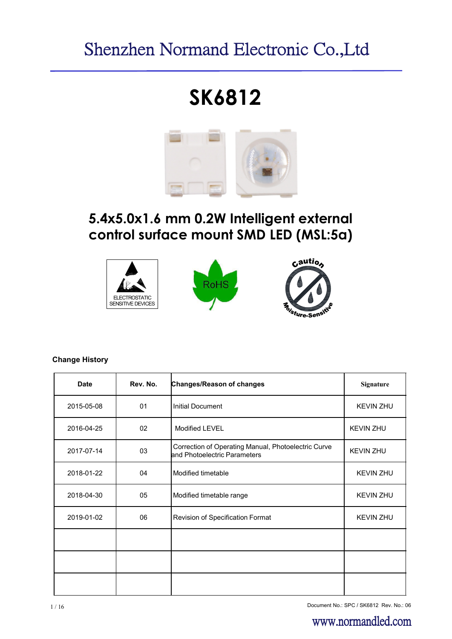# Shenzhen Normand Electronic Co.,Ltd

# **SK6812**



# **5.4x5.0x1.6 mm 0.2W Intelligent external control surface mount SMD LED (MSL:5a)**



#### **Change History**

| <b>Date</b> | Rev. No. | Changes/Reason of changes                                                           | <b>Signature</b> |
|-------------|----------|-------------------------------------------------------------------------------------|------------------|
| 2015-05-08  | 01       | <b>Initial Document</b>                                                             | <b>KEVIN ZHU</b> |
| 2016-04-25  | 02       | <b>Modified LEVEL</b>                                                               | <b>KEVIN ZHU</b> |
| 2017-07-14  | 03       | Correction of Operating Manual, Photoelectric Curve<br>and Photoelectric Parameters | <b>KEVIN ZHU</b> |
| 2018-01-22  | 04       | Modified timetable                                                                  | <b>KEVIN ZHU</b> |
| 2018-04-30  | 05       | Modified timetable range                                                            | <b>KEVIN ZHU</b> |
| 2019-01-02  | 06       | Revision of Specification Format                                                    | <b>KEVIN ZHU</b> |
|             |          |                                                                                     |                  |
|             |          |                                                                                     |                  |
|             |          |                                                                                     |                  |

1/16 Document No.: SPC / SK6812 Rev. No.: 06

# www.normandled.com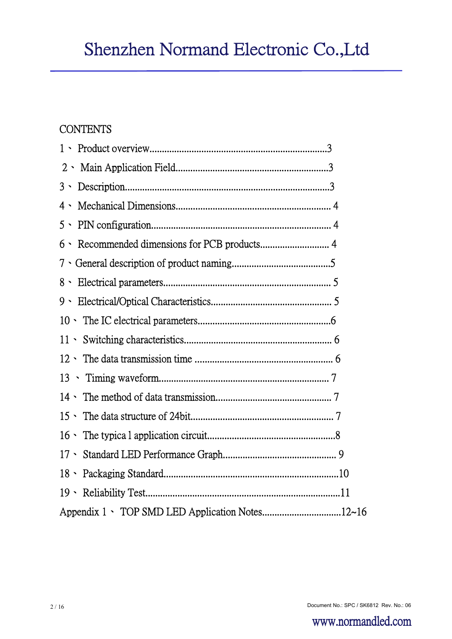# **CONTENTS**

| 2         |
|-----------|
| $3 \cdot$ |
| 4、        |
| $5 \cdot$ |
| 6、        |
|           |
| $8 \cdot$ |
|           |
|           |
|           |
|           |
|           |
|           |
|           |
|           |
|           |
|           |
|           |
|           |

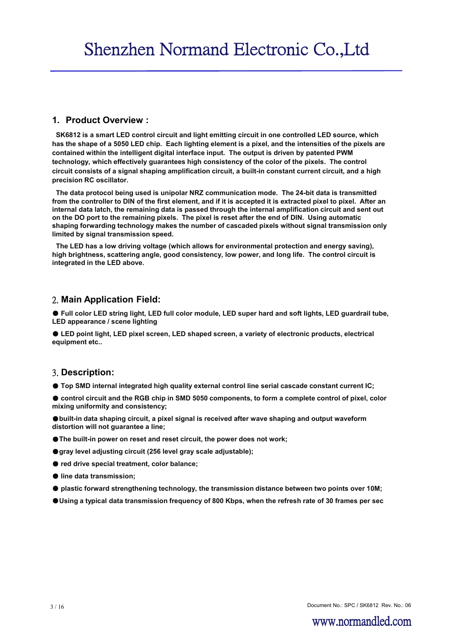#### **1. Product Overview :**

**SK6812 is a smart LED control circuit and light emitting circuit in one controlled LED source, which has the shape of a 5050 LED chip. Each lighting element is a pixel, and the intensities of the pixels are contained within the intelligent digital interface input. The output is driven by patented PWM technology, which effectively guarantees high consistency of the color of the pixels. The control circuit consists of a signal shaping amplification circuit, a built-in constant current circuit, and a high precision RC oscillator.**

**The data protocol being used is unipolar NRZ communication mode. The 24-bit data is transmitted from the controller to DIN of the first element, and if it is accepted it is extracted pixel to pixel. After an internal data latch, the remaining data is passed through the internal amplification circuit and sent out on the DO port to the remaining pixels. The pixel is reset after the end of DIN. Using automatic shaping forwarding technology makes the number of cascaded pixels without signal transmission only limited by signal transmission speed.**

**The LED has a low driving voltage (which allows for environmental protection and energy saving), high brightness, scattering angle, good consistency, low power, and long life. The control circuit is integrated in the LED above.**

#### 2. **Main Application Field:**

● Full color LED string light, LED full color module, LED super hard and soft lights, LED quardrail tube, **LED appearance / scene lighting**

● **LED point light, LED pixel screen, LED shaped screen, a variety of electronic products, electrical equipment etc..**

#### 3. **Description:**

● **Top SMD internal integrated high quality external control line serial cascade constant current IC;** 

● control circuit and the RGB chip in SMD 5050 components, to form a complete control of pixel, color **mixing uniformity and consistency;**

●**built-in data shaping circuit, a pixel signal is received after wave shaping and output waveform distortion will not guarantee a line;**

- ●**The built-in power on reset and reset circuit, the power does not work;**
- ●**gray level adjusting circuit (256 level gray scale adjustable);**
- red drive special treatment, color balance;
- **line data transmission;**
- **plastic forward strengthening technology, the transmission distance between two points over 10M;**
- ●**Using a typical data transmission frequency of 800 Kbps, when the refresh rate of 30 frames per sec**

Document No.: SPC / SK6812 Rev. No.: 06 3 / 16

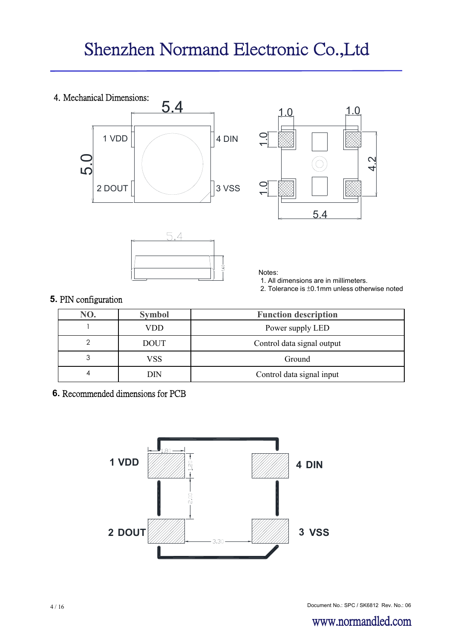





Notes:

1. All dimensions are in millimeters.

2. Tolerance is ±0.1mm unless otherwise noted

# **5.** PIN configuration

| NO. | <b>Symbol</b> | <b>Function description</b> |
|-----|---------------|-----------------------------|
|     | VDD           | Power supply LED            |
|     | <b>DOUT</b>   | Control data signal output  |
| 3   | VSS           | Ground                      |
| 4   | DIN           | Control data signal input   |

**6.** Recommended dimensions for PCB

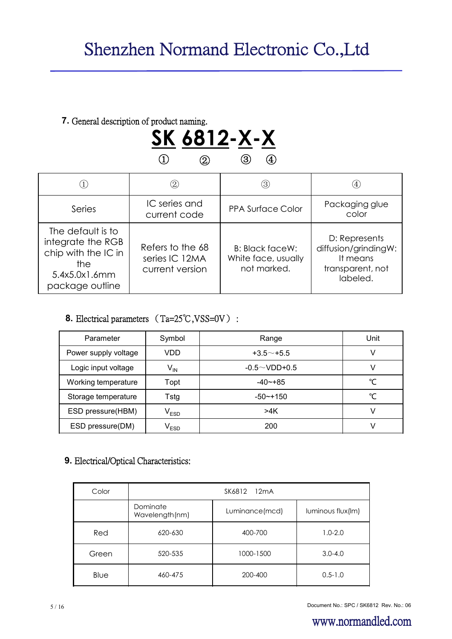# **7.** General description of product naming.



|                                                                                                          | $\left( 2\right)$                                     | (3)                                                          |                                                                                   |
|----------------------------------------------------------------------------------------------------------|-------------------------------------------------------|--------------------------------------------------------------|-----------------------------------------------------------------------------------|
| Series                                                                                                   | IC series and<br>current code                         | <b>PPA Surface Color</b>                                     | Packaging glue<br>color                                                           |
| The default is to<br>integrate the RGB<br>chip with the IC in<br>the<br>5.4x5.0x1.6mm<br>package outline | Refers to the 68<br>series IC 12MA<br>current version | <b>B: Black faceW:</b><br>White face, usually<br>not marked. | D: Represents<br>diffusion/grindingW:<br>It means<br>transparent, not<br>labeled. |

# **8.** Electrical parameters (Ta=25℃,VSS=0V) :

| Parameter            | Symbol                      | Range               | Unit |
|----------------------|-----------------------------|---------------------|------|
| Power supply voltage | VDD                         | $+3.5$ $-$ +5.5     | V    |
| Logic input voltage  | $\mathsf{V}_{\mathsf{IN}}$  | $-0.5 \sim$ VDD+0.5 |      |
| Working temperature  | Topt                        | $-40$ $-+85$        | °C   |
| Storage temperature  | Tstg                        | $-50$ $-+150$       | °C   |
| ESD pressure(HBM)    | $\mathsf{V}_{\mathsf{ESD}}$ | >4K                 | V    |
| ESD pressure(DM)     | $\mathsf{V}_{\mathsf{ESD}}$ | 200                 |      |

# **9.** Electrical/Optical Characteristics:

| Color | SK6812 12mA                |                |                   |  |  |
|-------|----------------------------|----------------|-------------------|--|--|
|       | Dominate<br>Wavelength(nm) | Luminance(mcd) | luminous flux(Im) |  |  |
| Red   | 620-630                    | 400-700        | $1.0 - 2.0$       |  |  |
| Green | 520-535                    | 1000-1500      | $3.0 - 4.0$       |  |  |
| Blue  | 460-475                    | 200-400        | $0.5 - 1.0$       |  |  |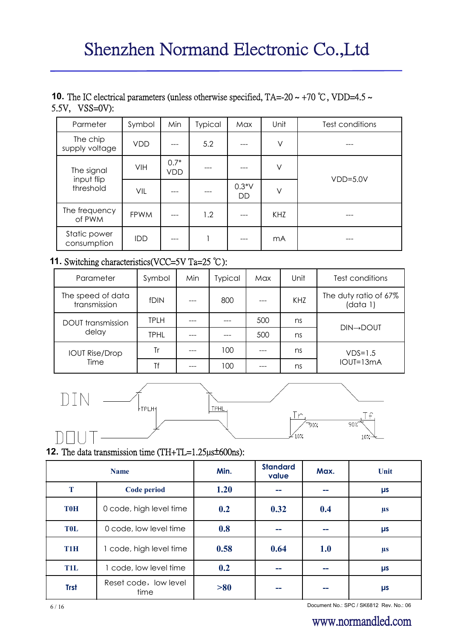# **10.** The IC electrical parameters (unless otherwise specified, TA=-20 ~ +70 °C, VDD=4.5 ~ 5.5V, VSS=0V):

| Parmeter                    | Symbol      | Min           | <b>Typical</b> | Max                  | Unit   | Test conditions |
|-----------------------------|-------------|---------------|----------------|----------------------|--------|-----------------|
| The chip<br>supply voltage  | <b>VDD</b>  |               | 5.2            |                      | $\vee$ |                 |
| The signal                  | VIH         | $0.7*$<br>VDD |                |                      | V      |                 |
| input flip<br>threshold     | VIL         |               |                | $0.3*V$<br><b>DD</b> | V      | $VDD=5.0V$      |
| The frequency<br>of PWM     | <b>FPWM</b> |               | 1.2            |                      | KHZ    |                 |
| Static power<br>consumption | <b>IDD</b>  |               |                |                      | mA     |                 |

# **11.** Switching characteristics(VCC=5V Ta=25 ℃):

| Parameter                         | Symbol      | Min | <b>Typical</b> | Max | Unit | Test conditions                   |
|-----------------------------------|-------------|-----|----------------|-----|------|-----------------------------------|
| The speed of data<br>transmission | fDIN        |     | 800            |     | KHZ  | The duty ratio of 67%<br>(data 1) |
| <b>DOUT</b> transmission          | <b>TPLH</b> |     |                | 500 | ns   |                                   |
| delay                             | <b>TPHL</b> |     |                | 500 | ns   | <b>DIN→DOUT</b>                   |
| <b>IOUT Rise/Drop</b>             | Tr          |     | 100            |     | ns   | $VDS=1.5$                         |
| Time                              | Tf          |     | 100            |     | ns   | $IOUI=13mA$                       |



# **12.** The data transmission time (TH+TL=1.25µs±600ns):

|                  | <b>Name</b>                   | Min. | <b>Standard</b><br>value | Max.       | Unit    |
|------------------|-------------------------------|------|--------------------------|------------|---------|
| T                | Code period                   | 1.20 | --                       |            | μs      |
| <b>T0H</b>       | 0 code, high level time       | 0.2  | 0.32                     | 0.4        | $\mu s$ |
| <b>TOL</b>       | 0 code, low level time        | 0.8  | --                       |            | μs      |
| T <sub>1</sub> H | 1 code, high level time       | 0.58 | 0.64                     | <b>1.0</b> | $\mu s$ |
| <b>T1L</b>       | code, low level time          | 0.2  | --                       |            | μs      |
| <b>Trst</b>      | Reset code, low level<br>time | > 80 |                          |            | μs      |

Document No.: SPC / SK6812 Rev. No.: 06 6 / 16

# www.normandled.com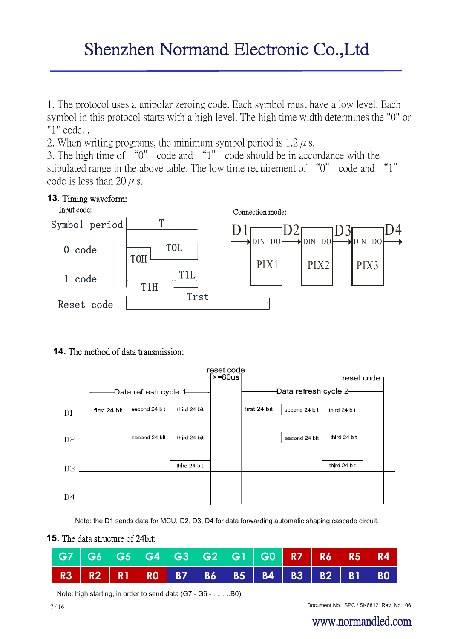# Shenzhen Normand Electronic Co.,Ltd

1. The protocol uses a unipolar zeroing code. Each symbol must have a low level. Each symbol in this protocol starts with a high level. The high time width determines the "0" or "1" code. .

2. When writing programs, the minimum symbol period is  $1.2 \mu$  s.

3. The high time of "0" code and "1" code should be in accordance with the stipulated range in the above table. The low time requirement of "0" code and "1" code is less than 20  $\mu$  s.



## **14.** The method of data transmission:



Note: the D1 sends data for MCU, D2, D3, D4 for data forwarding automatic shaping cascade circuit.



| G7   G6   G5   G4   G3   G2   G1   G0 <mark>  R7   R6   R5   R4</mark> |  |  |  |  |  |  |
|------------------------------------------------------------------------|--|--|--|--|--|--|
| R3 R2 R1 R0 B7 B6 B5 B4 B3 B2 B1 B0                                    |  |  |  |  |  |  |

Note: high starting, in order to send data (G7 - G6 - ...... ..B0)

Document No.: SPC / SK6812 Rev. No.: 06 7 / 16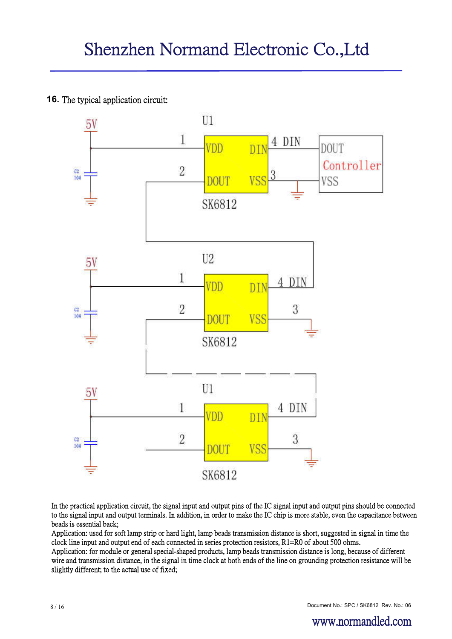# **16.** The typical application circuit:



In the practical application circuit, the signal input and output pins of the IC signal input and output pins should be connected to the signal input and output terminals. In addition, in order to make the IC chip is more stable, even the capacitance between beads is essential back;

Application: used for soft lamp strip or hard light, lamp beads transmission distance is short, suggested in signal in time the clock line input and output end of each connected in series protection resistors, R1=R0 of about 500 ohms.

Application: for module or general special-shaped products, lamp beads transmission distance is long, because of different wire and transmission distance, in the signal in time clock at both ends of the line on grounding protection resistance will be slightly different; to the actual use of fixed;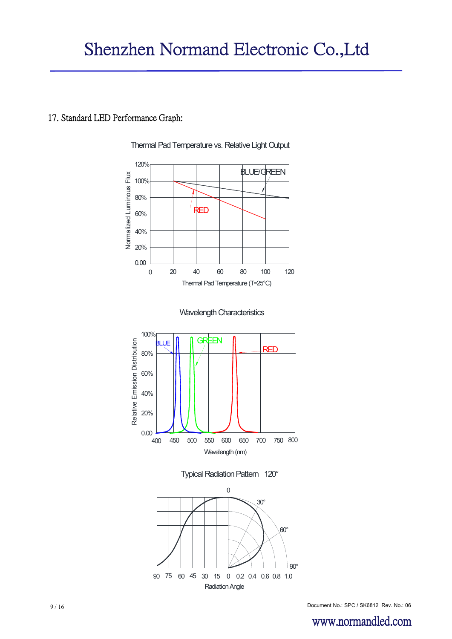# 17. Standard LED Performance Graph:



Radiation Angle

Thermal Pad Temperature vs. Relative Light Output

9 / 16 Document No.: SPC / SK6812 Rev. No.: 06

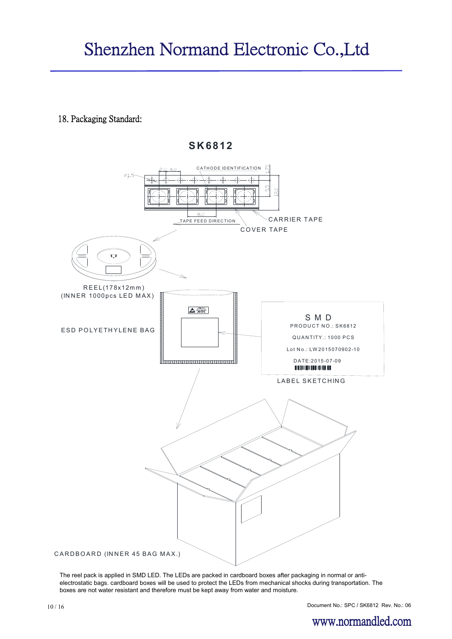18. Packaging Standard:



 **S K 6812**

The reel pack is applied in SMD LED. The LEDs are packed in cardboard boxes after packaging in normal or antielectrostatic bags. cardboard boxes will be used to protect the LEDs from mechanical shocks during transportation. The boxes are not water resistant and therefore must be kept away from water and moisture.

Document No.: SPC / SK6812 Rev. No.: 06

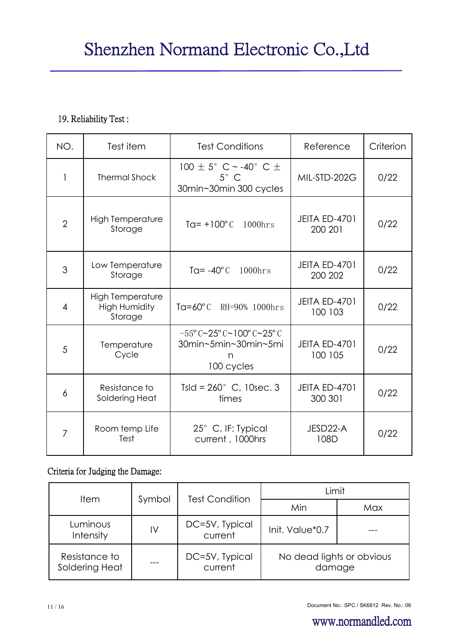# 19. Reliability Test :

| NO.            | Test item                                                  | <b>Test Conditions</b>                                                                                | Reference                       | Criterion |
|----------------|------------------------------------------------------------|-------------------------------------------------------------------------------------------------------|---------------------------------|-----------|
| $\mathbf{1}$   | <b>Thermal Shock</b>                                       | 100 $\pm$ 5° C ~ -40° C $\pm$<br>$5^\circ$ C<br>30min~30min 300 cycles                                | MIL-STD-202G                    | 0/22      |
| $\overline{2}$ | <b>High Temperature</b><br>Storage                         | $Tq = +100^{\circ}C$<br>$1000$ hrs                                                                    | <b>JEITA ED-4701</b><br>200 201 | 0/22      |
| 3              | Low Temperature<br>Storage                                 | Ta= $-40^{\circ}$ C<br>$1000$ hrs                                                                     | <b>JEITA ED-4701</b><br>200 202 | 0/22      |
| $\overline{4}$ | <b>High Temperature</b><br><b>High Humidity</b><br>Storage | Ta= $60^{\circ}$ C<br>RH=90% 1000hrs                                                                  | <b>JEITA ED-4701</b><br>100 103 | 0/22      |
| 5              | Temperature<br>Cycle                                       | $-55^{\circ}$ C ~ $25^{\circ}$ C ~ 100° C ~ $25^{\circ}$ C<br>30min~5min~30min~5mi<br>n<br>100 cycles | <b>JEITA ED-4701</b><br>100 105 | 0/22      |
| 6              | Resistance to<br>Soldering Heat                            | Tsld = $260^{\circ}$ C, 10sec. 3<br>times                                                             | <b>JEITA ED-4701</b><br>300 301 | 0/22      |
| 7              | Room temp Life<br>Test                                     | 25° C, IF: Typical<br>current, 1000hrs                                                                | JESD22-A<br>108D                | 0/22      |

# Criteria for Judging the Damage:

| <b>Item</b>                     |        | <b>Test Condition</b>     | Limit                               |     |  |
|---------------------------------|--------|---------------------------|-------------------------------------|-----|--|
|                                 | Symbol |                           | Min                                 | Max |  |
| Luminous<br>Intensity           | IV     | DC=5V, Typical<br>current | Init. Value*0.7                     |     |  |
| Resistance to<br>Soldering Heat | ---    | DC=5V, Typical<br>current | No dead lights or obvious<br>damage |     |  |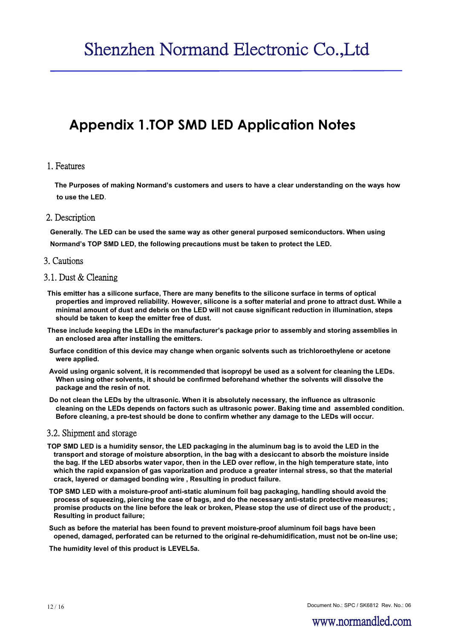# **Appendix 1.TOP SMD LED Application Notes**

#### 1. Features

**The Purposes of making Normand's customers and users to have a clear understanding on the ways how to use the LED**.

#### 2. Description

**Generally. The LED can be used the same way as other general purposed semiconductors. When using Normand's TOP SMD LED, the following precautions must be taken to protect the LED.**

#### 3. Cautions

#### 3.1. Dust & Cleaning

- **This emitter has a silicone surface, There are many benefits to the silicone surface in terms of optical properties and improved reliability. However, silicone is a softer material and prone to attract dust. While a minimal amount of dust and debris on the LED will not cause significant reduction in illumination, steps should be taken to keep the emitter free of dust.**
- **These include keeping the LEDs in the manufacturer's package prior to assembly and storing assemblies in an enclosed area after installing the emitters.**
- **Surface condition of this device may change when organic solvents such as trichloroethylene or acetone were applied.**
- **Avoid using organic solvent, it is recommended that isopropyl be used as a solvent for cleaning the LEDs. When using other solvents, it should be confirmed beforehand whether the solvents will dissolve the package and the resin of not.**
- **Do not clean the LEDs by the ultrasonic. When it is absolutely necessary, the influence as ultrasonic cleaning on the LEDs depends on factors such as ultrasonic power. Baking time and assembled condition. Before cleaning, a pre-test should be done to confirm whether any damage to the LEDs will occur.**

#### 3.2. Shipment and storage

- **TOP SMD LED is a humidity sensor, the LED packaging in the aluminum bag is to avoid the LED in the transport and storage of moisture absorption, in the bag with a desiccant to absorb the moisture inside the bag. If the LED absorbs water vapor, then in the LED over reflow, in the high temperature state, into which the rapid expansion of gas vaporization and produce a greater internal stress, so that the material crack, layered or damaged bonding wire , Resulting in product failure.**
- **TOP SMD LED with a moisture-proof anti-static aluminum foil bag packaging, handling should avoid the process of squeezing, piercing the case of bags, and do the necessary anti-static protective measures; promise products on the line before the leak or broken, Please stop the use of direct use of the product; , Resulting in product failure;**
- **Such as before the material has been found to prevent moisture-proof aluminum foil bags have been opened, damaged, perforated can be returned to the original re-dehumidification, must not be on-line use;**

**The humidity level of this product is LEVEL5a.**

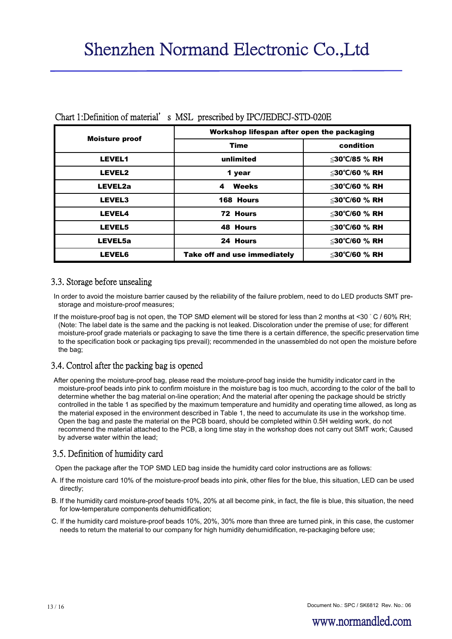| <b>Moisture proof</b> | Workshop lifespan after open the packaging |               |  |
|-----------------------|--------------------------------------------|---------------|--|
|                       | <b>Time</b>                                | condition     |  |
| <b>LEVEL1</b>         | unlimited                                  | ≤30°C/85 % RH |  |
| LEVEL2                | 1 year                                     | ≤30°C/60 % RH |  |
| LEVEL2a               | Weeks<br>$\overline{\mathbf{4}}$           | ≤30°C/60 % RH |  |
| <b>LEVEL3</b>         | 168 Hours                                  | ≤30°C/60 % RH |  |
| <b>LEVEL4</b>         | 72 Hours                                   | ≤30°C/60 % RH |  |
| <b>LEVEL5</b>         | <b>48 Hours</b>                            | ≤30°C/60 % RH |  |
| LEVEL5a               | 24 Hours                                   | ≤30°C/60 % RH |  |
| <b>LEVEL6</b>         | Take off and use immediately               | ≤30°C/60 % RH |  |

#### Chart 1:Definition of material's MSL prescribed by IPC/JEDECJ-STD-020E

#### 3.3. Storage before unsealing

In order to avoid the moisture barrier caused by the reliability of the failure problem, need to do LED products SMT prestorage and moisture-proof measures;

If the moisture-proof bag is not open, the TOP SMD element will be stored for less than 2 months at <30 ° C / 60% RH; (Note: The label date is the same and the packing is not leaked. Discoloration under the premise of use; for different moisture-proof grade materials or packaging to save the time there is a certain difference, the specific preservation time to the specification book or packaging tips prevail); recommended in the unassembled do not open the moisture before the bag;

## 3.4. Control after the packing bag is opened

After opening the moisture-proof bag, please read the moisture-proof bag inside the humidity indicator card in the moisture-proof beads into pink to confirm moisture in the moisture bag is too much, according to the color of the ball to determine whether the bag material on-line operation; And the material after opening the package should be strictly controlled in the table 1 as specified by the maximum temperature and humidity and operating time allowed, as long as the material exposed in the environment described in Table 1, the need to accumulate its use in the workshop time. Open the bag and paste the material on the PCB board, should be completed within 0.5H welding work, do not recommend the material attached to the PCB, a long time stay in the workshop does not carry out SMT work; Caused by adverse water within the lead;

## 3.5. Definition of humidity card

Open the package after the TOP SMD LED bag inside the humidity card color instructions are as follows:

- A. If the moisture card 10% of the moisture-proof beads into pink, other files for the blue, this situation, LED can be used directly;
- B. If the humidity card moisture-proof beads 10%, 20% at all become pink, in fact, the file is blue, this situation, the need for low-temperature components dehumidification;
- C. If the humidity card moisture-proof beads 10%, 20%, 30% more than three are turned pink, in this case, the customer needs to return the material to our company for high humidity dehumidification, re-packaging before use;

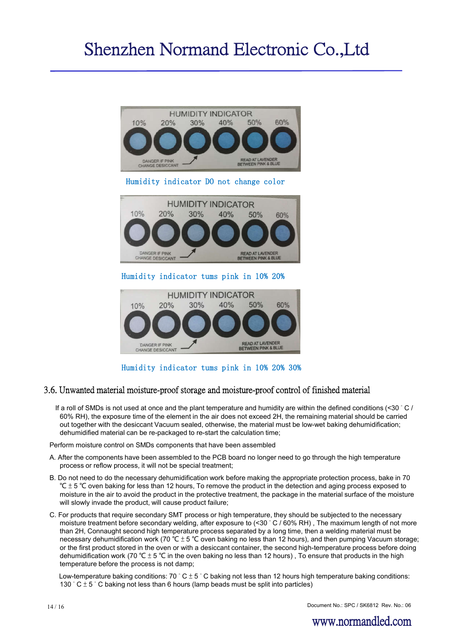

Humidity indicator tums pink in 10% 20% 30%

#### 3.6. Unwanted material moisture-proof storage and moisture-proof control of finished material

If a roll of SMDs is not used at once and the plant temperature and humidity are within the defined conditions (<30 °C / 60% RH), the exposure time of the element in the air does not exceed 2H, the remaining material should be carried out together with the desiccant Vacuum sealed, otherwise, the material must be low-wet baking dehumidification; dehumidified material can be re-packaged to re-start the calculation time;

Perform moisture control on SMDs components that have been assembled

- A. After the components have been assembled to the PCB board no longer need to go through the high temperature process or reflow process, it will not be special treatment;
- B. Do not need to do the necessary dehumidification work before making the appropriate protection process, bake in 70 °C  $\pm$  5 °C oven baking for less than 12 hours, To remove the product in the detection and aging process exposed to moisture in the air to avoid the product in the protective treatment, the package in the material surface of the moisture will slowly invade the product, will cause product failure;
- C. For products that require secondary SMT process or high temperature, they should be subjected to the necessary moisture treatment before secondary welding, after exposure to (<30 ° C / 60% RH) , The maximum length of not more than 2H, Connaught second high temperature process separated by a long time, then a welding material must be necessary dehumidification work (70 ℃ ± 5 ℃ oven baking no less than 12 hours), and then pumping Vacuum storage; or the first product stored in the oven or with a desiccant container, the second high-temperature process before doing dehumidification work (70 °C  $\pm$  5 °C in the oven baking no less than 12 hours), To ensure that products in the high temperature before the process is not damp;

Low-temperature baking conditions:  $70\degree C \pm 5\degree C$  baking not less than 12 hours high temperature baking conditions: 130  $^{\circ}$  C  $\pm$  5  $^{\circ}$  C baking not less than 6 hours (lamp beads must be split into particles)

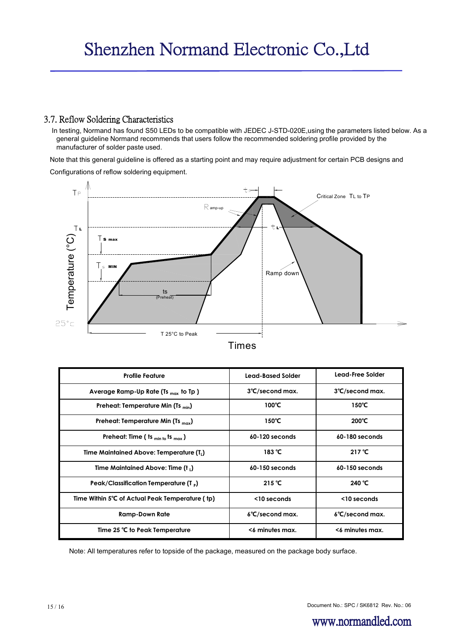### 3.7. Reflow Soldering Characteristics

In testing, Normand has found S50 LEDs to be compatible with JEDEC J-STD-020E,using the parameters listed below. As a general guideline Normand recommends that users follow the recommended soldering profile provided by the manufacturer of solder paste used.

Note that this general guideline is offered as a starting point and may require adjustment for certain PCB designs and

Configurations of reflow soldering equipment.



|  | ım |  |
|--|----|--|
|  |    |  |

| <b>Profile Feature</b>                               | Lead-Based Solder         | Lead-Free Solder          |
|------------------------------------------------------|---------------------------|---------------------------|
| Average Ramp-Up Rate (Ts $_{max}$ to Tp )            | 3°C/second max.           | 3°C/second max.           |
| Preheat: Temperature Min (Ts <sub>min</sub> )        | 100°C                     | 150°C                     |
| Preheat: Temperature Min (Ts <sub>max</sub> )        | $150^{\circ}$ C           | $200^{\circ}$ C           |
| Preheat: Time ( ts $_{min to}$ ts $_{max}$ )         | 60-120 seconds            | 60-180 seconds            |
| Time Maintained Above: Temperature (T <sub>1</sub> ) | 183 $°C$                  | 217 $°C$                  |
| Time Maintained Above: Time (t,)                     | 60-150 seconds            | 60-150 seconds            |
| Peak/Classification Temperature (T,)                 | 215 $°C$                  | 240 °C                    |
| Time Within 5°C of Actual Peak Temperature (tp)      | <10 seconds               | $<$ 10 seconds            |
| <b>Ramp-Down Rate</b>                                | $6^{\circ}$ C/second max. | $6^{\circ}$ C/second max. |
| Time 25 °C to Peak Temperature                       | <6 minutes max.           | <6 minutes max.           |

Note: All temperatures refer to topside of the package, measured on the package body surface.